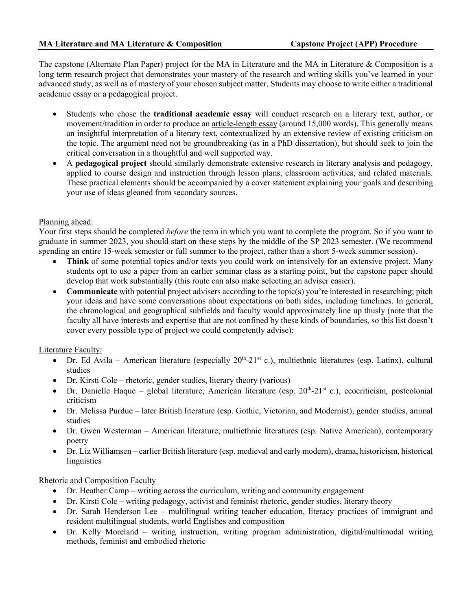The capstone (Alternate Plan Paper) project for the MA in Literature and the MA in Literature & Composition is a long term research project that demonstrates your mastery of the research and writing skills you've learned in your advanced study, as well as of mastery of your chosen subject matter. Students may choose to write either a traditional academic essay or a pedagogical project.

- Students who chose the **traditional academic essay** will conduct research on a literary text, author, or movement/tradition in order to produce an article-length essay (around 15,000 words). This generally means an insightful interpretation of a literary text, contextualized by an extensive review of existing criticism on the topic. The argument need not be groundbreaking (as in a PhD dissertation), but should seek to join the critical conversation in a thoughtful and well supported way.
- A **pedagogical project** should similarly demonstrate extensive research in literary analysis and pedagogy, applied to course design and instruction through lesson plans, classroom activities, and related materials. These practical elements should be accompanied by a cover statement explaining your goals and describing your use of ideas gleaned from secondary sources.

## Planning ahead:

Your first steps should be completed *before* the term in which you want to complete the program. So if you want to graduate in summer 2023, you should start on these steps by the middle of the SP 2023 semester. (We recommend spending an entire 15-week semester or full summer to the project, rather than a short 5-week summer session).

- **Think** of some potential topics and/or texts you could work on intensively for an extensive project. Many students opt to use a paper from an earlier seminar class as a starting point, but the capstone paper should develop that work substantially (this route can also make selecting an adviser easier).
- **Communicate** with potential project advisers according to the topic(s) you're interested in researching; pitch your ideas and have some conversations about expectations on both sides, including timelines. In general, the chronological and geographical subfields and faculty would approximately line up thusly (note that the faculty all have interests and expertise that are not confined by these kinds of boundaries, so this list doesn't cover every possible type of project we could competently advise):

## Literature Faculty:

- Dr. Ed Avila American literature (especially  $20^{th}$ -21<sup>st</sup> c.), multiethnic literatures (esp. Latinx), cultural studies
- Dr. Kirsti Cole rhetoric, gender studies, literary theory (various)
- Dr. Danielle Haque global literature, American literature (esp.  $20<sup>th</sup>$ - $21<sup>st</sup>$  c.), ecocriticism, postcolonial criticism
- Dr. Melissa Purdue later British literature (esp. Gothic, Victorian, and Modernist), gender studies, animal studies
- Dr. Gwen Westerman American literature, multiethnic literatures (esp. Native American), contemporary poetry
- Dr. Liz Williamsen earlier British literature (esp. medieval and early modern), drama, historicism, historical linguistics

## Rhetoric and Composition Faculty

- Dr. Heather Camp writing across the curriculum, writing and community engagement
- Dr. Kirsti Cole writing pedagogy, activist and feminist rhetoric, gender studies, literary theory
- Dr. Sarah Henderson Lee multilingual writing teacher education, literacy practices of immigrant and resident multilingual students, world Englishes and composition
- Dr. Kelly Moreland writing instruction, writing program administration, digital/multimodal writing methods, feminist and embodied rhetoric